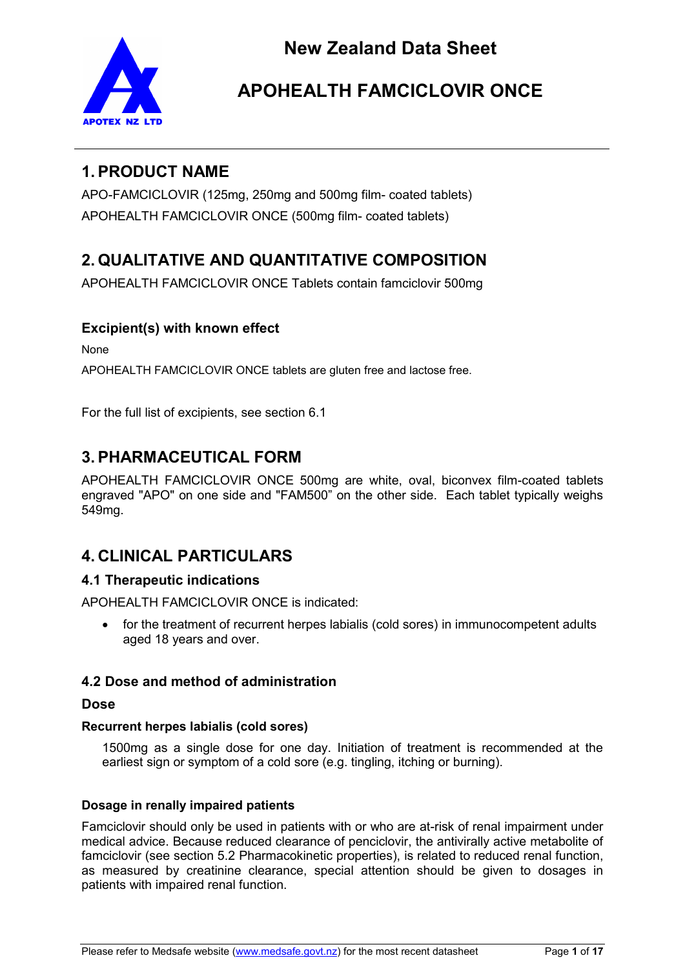

# **1. PRODUCT NAME**

APO-FAMCICLOVIR (125mg, 250mg and 500mg film- coated tablets) APOHEALTH FAMCICLOVIR ONCE (500mg film- coated tablets)

# **2. QUALITATIVE AND QUANTITATIVE COMPOSITION**

APOHEALTH FAMCICLOVIR ONCE Tablets contain famciclovir 500mg

# **Excipient(s) with known effect**

None

APOHEALTH FAMCICLOVIR ONCE tablets are gluten free and lactose free.

For the full list of excipients, see section 6.1

# **3. PHARMACEUTICAL FORM**

APOHEALTH FAMCICLOVIR ONCE 500mg are white, oval, biconvex film-coated tablets engraved "APO" on one side and "FAM500" on the other side. Each tablet typically weighs 549mg.

# **4. CLINICAL PARTICULARS**

# **4.1 Therapeutic indications**

APOHEALTH FAMCICLOVIR ONCE is indicated:

• for the treatment of recurrent herpes labialis (cold sores) in immunocompetent adults aged 18 years and over.

# **4.2 Dose and method of administration**

## **Dose**

### **Recurrent herpes labialis (cold sores)**

1500mg as a single dose for one day. Initiation of treatment is recommended at the earliest sign or symptom of a cold sore (e.g. tingling, itching or burning).

## **Dosage in renally impaired patients**

Famciclovir should only be used in patients with or who are at-risk of renal impairment under medical advice. Because reduced clearance of penciclovir, the antivirally active metabolite of famciclovir (see section 5.2 Pharmacokinetic properties), is related to reduced renal function, as measured by creatinine clearance, special attention should be given to dosages in patients with impaired renal function.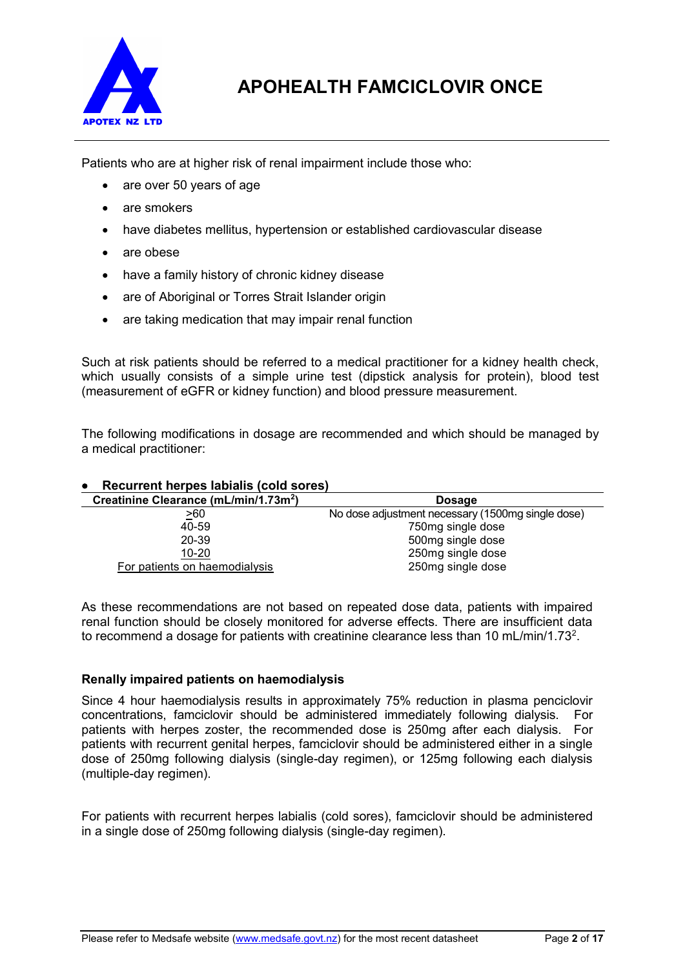

Patients who are at higher risk of renal impairment include those who:

- are over 50 years of age
- are smokers
- have diabetes mellitus, hypertension or established cardiovascular disease
- are obese
- have a family history of chronic kidney disease
- are of Aboriginal or Torres Strait Islander origin
- are taking medication that may impair renal function

Such at risk patients should be referred to a medical practitioner for a kidney health check, which usually consists of a simple urine test (dipstick analysis for protein), blood test (measurement of eGFR or kidney function) and blood pressure measurement.

The following modifications in dosage are recommended and which should be managed by a medical practitioner:

#### • **Recurrent herpes labialis (cold sores) Creatinine Clearance (mL/min/1.73m<sup>2</sup> ) Dosage** >60 No dose adjustment necessary (1500mg single dose) 40-59 750mg single dose 20-39 500mg single dose 10-20 250mg single dose For patients on haemodialysis 250mg single dose

As these recommendations are not based on repeated dose data, patients with impaired renal function should be closely monitored for adverse effects. There are insufficient data to recommend a dosage for patients with creatinine clearance less than 10 mL/min/1.73 $^{\rm 2}.$ 

### **Renally impaired patients on haemodialysis**

Since 4 hour haemodialysis results in approximately 75% reduction in plasma penciclovir concentrations, famciclovir should be administered immediately following dialysis. For patients with herpes zoster, the recommended dose is 250mg after each dialysis. For patients with recurrent genital herpes, famciclovir should be administered either in a single dose of 250mg following dialysis (single-day regimen), or 125mg following each dialysis (multiple-day regimen).

For patients with recurrent herpes labialis (cold sores), famciclovir should be administered in a single dose of 250mg following dialysis (single-day regimen).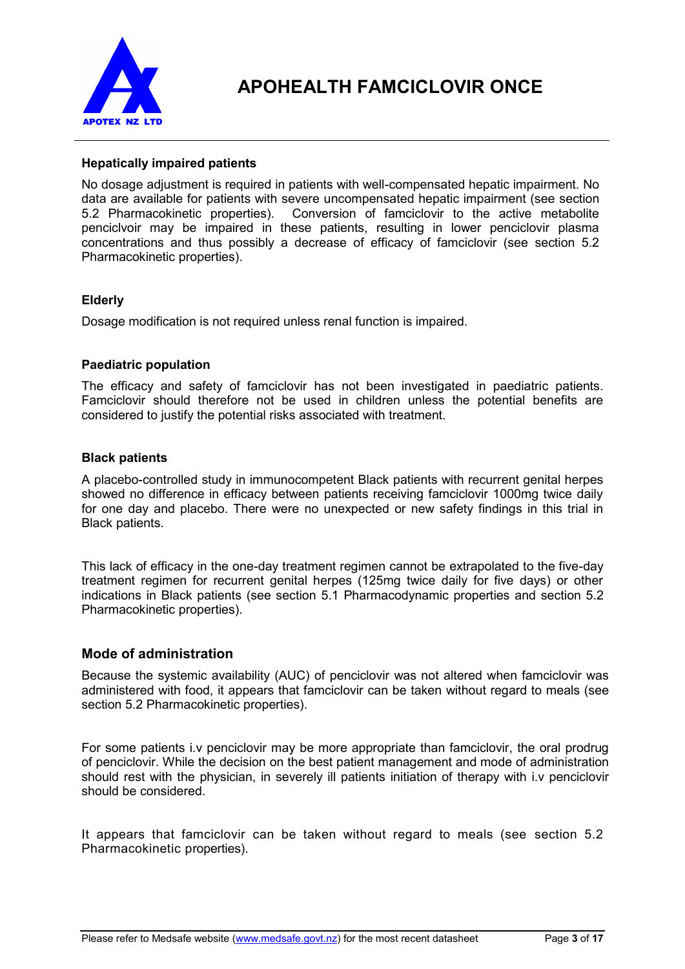

### **Hepatically impaired patients**

No dosage adjustment is required in patients with well-compensated hepatic impairment. No data are available for patients with severe uncompensated hepatic impairment (see section 5.2 Pharmacokinetic properties). Conversion of famciclovir to the active metabolite Conversion of famciclovir to the active metabolite penciclvoir may be impaired in these patients, resulting in lower penciclovir plasma concentrations and thus possibly a decrease of efficacy of famciclovir (see section 5.2 Pharmacokinetic properties).

### **Elderly**

Dosage modification is not required unless renal function is impaired.

### **Paediatric population**

The efficacy and safety of famciclovir has not been investigated in paediatric patients. Famciclovir should therefore not be used in children unless the potential benefits are considered to justify the potential risks associated with treatment.

### **Black patients**

A placebo-controlled study in immunocompetent Black patients with recurrent genital herpes showed no difference in efficacy between patients receiving famciclovir 1000mg twice daily for one day and placebo. There were no unexpected or new safety findings in this trial in Black patients.

This lack of efficacy in the one-day treatment regimen cannot be extrapolated to the five-day treatment regimen for recurrent genital herpes (125mg twice daily for five days) or other indications in Black patients (see section 5.1 Pharmacodynamic properties and section 5.2 Pharmacokinetic properties).

### **Mode of administration**

Because the systemic availability (AUC) of penciclovir was not altered when famciclovir was administered with food, it appears that famciclovir can be taken without regard to meals (see section 5.2 Pharmacokinetic properties).

For some patients i.v penciclovir may be more appropriate than famciclovir, the oral prodrug of penciclovir. While the decision on the best patient management and mode of administration should rest with the physician, in severely ill patients initiation of therapy with i.v penciclovir should be considered.

It appears that famciclovir can be taken without regard to meals (see section 5.2 Pharmacokinetic properties).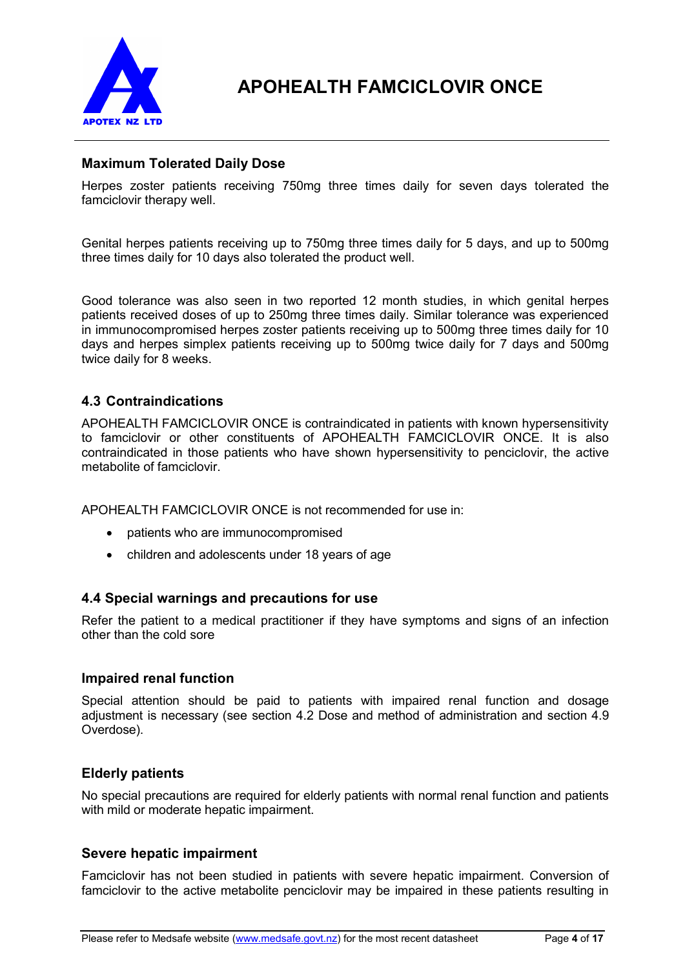

## **Maximum Tolerated Daily Dose**

Herpes zoster patients receiving 750mg three times daily for seven days tolerated the famciclovir therapy well.

Genital herpes patients receiving up to 750mg three times daily for 5 days, and up to 500mg three times daily for 10 days also tolerated the product well.

Good tolerance was also seen in two reported 12 month studies, in which genital herpes patients received doses of up to 250mg three times daily. Similar tolerance was experienced in immunocompromised herpes zoster patients receiving up to 500mg three times daily for 10 days and herpes simplex patients receiving up to 500mg twice daily for 7 days and 500mg twice daily for 8 weeks.

## **4.3 Contraindications**

APOHEALTH FAMCICLOVIR ONCE is contraindicated in patients with known hypersensitivity to famciclovir or other constituents of APOHEALTH FAMCICLOVIR ONCE. It is also contraindicated in those patients who have shown hypersensitivity to penciclovir, the active metabolite of famciclovir.

APOHEALTH FAMCICLOVIR ONCE is not recommended for use in:

- patients who are immunocompromised
- children and adolescents under 18 years of age

### **4.4 Special warnings and precautions for use**

Refer the patient to a medical practitioner if they have symptoms and signs of an infection other than the cold sore

### **Impaired renal function**

Special attention should be paid to patients with impaired renal function and dosage adjustment is necessary (see section 4.2 Dose and method of administration and section 4.9 Overdose).

### **Elderly patients**

No special precautions are required for elderly patients with normal renal function and patients with mild or moderate hepatic impairment.

### **Severe hepatic impairment**

Famciclovir has not been studied in patients with severe hepatic impairment. Conversion of famciclovir to the active metabolite penciclovir may be impaired in these patients resulting in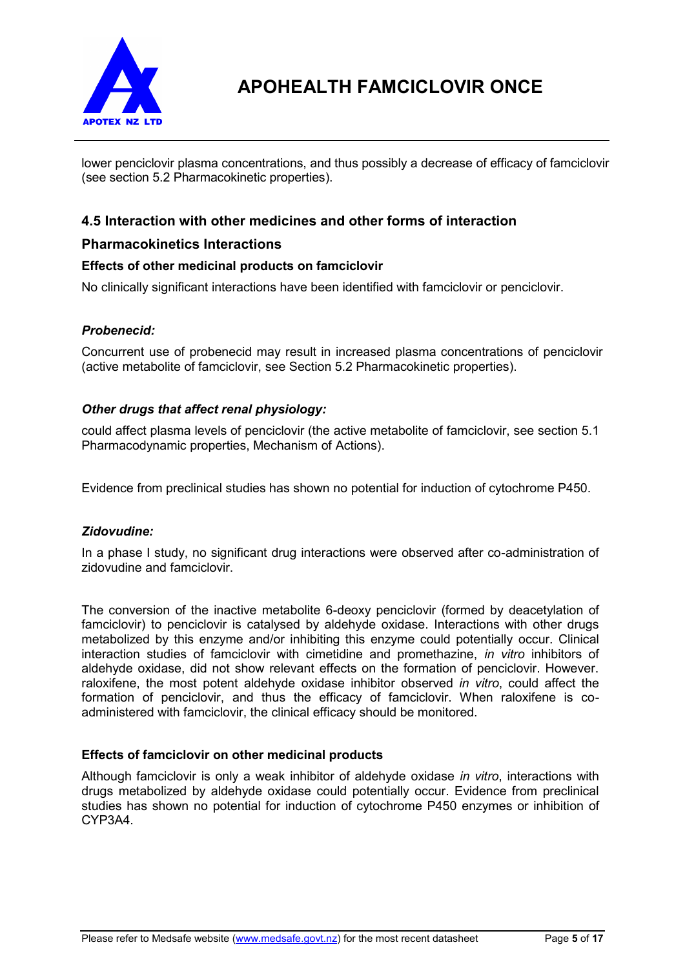

lower penciclovir plasma concentrations, and thus possibly a decrease of efficacy of famciclovir (see section 5.2 Pharmacokinetic properties).

## **4.5 Interaction with other medicines and other forms of interaction**

### **Pharmacokinetics Interactions**

### **Effects of other medicinal products on famciclovir**

No clinically significant interactions have been identified with famciclovir or penciclovir.

#### *Probenecid:*

Concurrent use of probenecid may result in increased plasma concentrations of penciclovir (active metabolite of famciclovir, see Section 5.2 Pharmacokinetic properties).

#### *Other drugs that affect renal physiology:*

could affect plasma levels of penciclovir (the active metabolite of famciclovir, see section 5.1 Pharmacodynamic properties, Mechanism of Actions).

Evidence from preclinical studies has shown no potential for induction of cytochrome P450.

#### *Zidovudine:*

In a phase I study, no significant drug interactions were observed after co-administration of zidovudine and famciclovir.

The conversion of the inactive metabolite 6-deoxy penciclovir (formed by deacetylation of famciclovir) to penciclovir is catalysed by aldehyde oxidase. Interactions with other drugs metabolized by this enzyme and/or inhibiting this enzyme could potentially occur. Clinical interaction studies of famciclovir with cimetidine and promethazine, *in vitro* inhibitors of aldehyde oxidase, did not show relevant effects on the formation of penciclovir. However. raloxifene, the most potent aldehyde oxidase inhibitor observed *in vitro*, could affect the formation of penciclovir, and thus the efficacy of famciclovir. When raloxifene is coadministered with famciclovir, the clinical efficacy should be monitored.

### **Effects of famciclovir on other medicinal products**

Although famciclovir is only a weak inhibitor of aldehyde oxidase *in vitro*, interactions with drugs metabolized by aldehyde oxidase could potentially occur. Evidence from preclinical studies has shown no potential for induction of cytochrome P450 enzymes or inhibition of CYP3A4.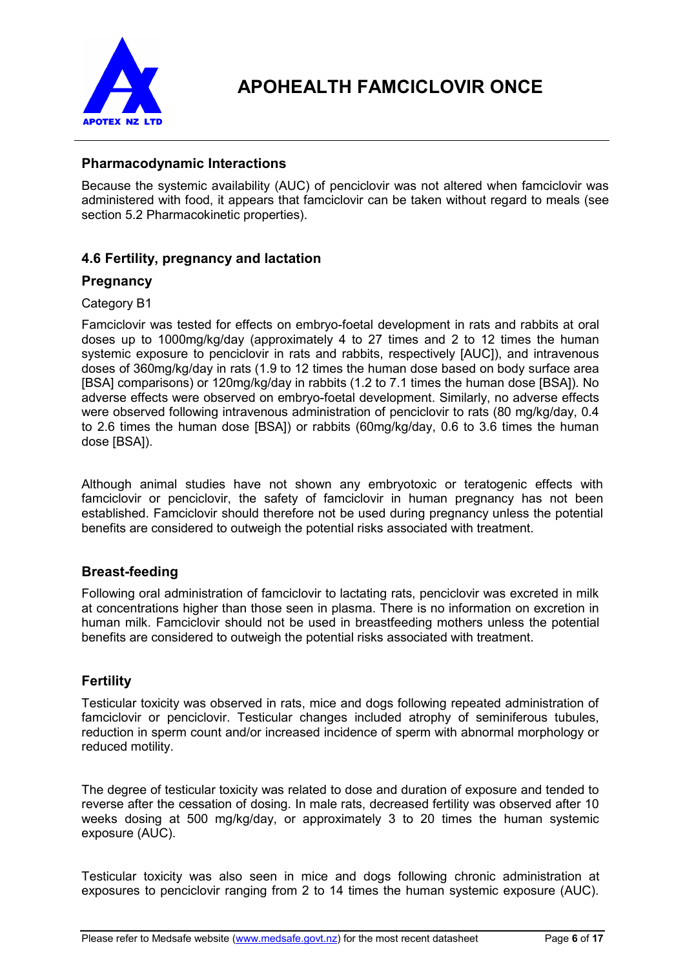

## **Pharmacodynamic Interactions**

Because the systemic availability (AUC) of penciclovir was not altered when famciclovir was administered with food, it appears that famciclovir can be taken without regard to meals (see section 5.2 Pharmacokinetic properties).

## **4.6 Fertility, pregnancy and lactation**

## **Pregnancy**

### Category B1

Famciclovir was tested for effects on embryo-foetal development in rats and rabbits at oral doses up to 1000mg/kg/day (approximately 4 to 27 times and 2 to 12 times the human systemic exposure to penciclovir in rats and rabbits, respectively [AUC]), and intravenous doses of 360mg/kg/day in rats (1.9 to 12 times the human dose based on body surface area [BSA] comparisons) or 120mg/kg/day in rabbits (1.2 to 7.1 times the human dose [BSA]). No adverse effects were observed on embryo-foetal development. Similarly, no adverse effects were observed following intravenous administration of penciclovir to rats (80 mg/kg/day, 0.4 to 2.6 times the human dose [BSA]) or rabbits (60mg/kg/day, 0.6 to 3.6 times the human dose [BSA]).

Although animal studies have not shown any embryotoxic or teratogenic effects with famciclovir or penciclovir, the safety of famciclovir in human pregnancy has not been established. Famciclovir should therefore not be used during pregnancy unless the potential benefits are considered to outweigh the potential risks associated with treatment.

## **Breast-feeding**

Following oral administration of famciclovir to lactating rats, penciclovir was excreted in milk at concentrations higher than those seen in plasma. There is no information on excretion in human milk. Famciclovir should not be used in breastfeeding mothers unless the potential benefits are considered to outweigh the potential risks associated with treatment.

# **Fertility**

Testicular toxicity was observed in rats, mice and dogs following repeated administration of famciclovir or penciclovir. Testicular changes included atrophy of seminiferous tubules, reduction in sperm count and/or increased incidence of sperm with abnormal morphology or reduced motility.

The degree of testicular toxicity was related to dose and duration of exposure and tended to reverse after the cessation of dosing. In male rats, decreased fertility was observed after 10 weeks dosing at 500 mg/kg/day, or approximately 3 to 20 times the human systemic exposure (AUC).

Testicular toxicity was also seen in mice and dogs following chronic administration at exposures to penciclovir ranging from 2 to 14 times the human systemic exposure (AUC).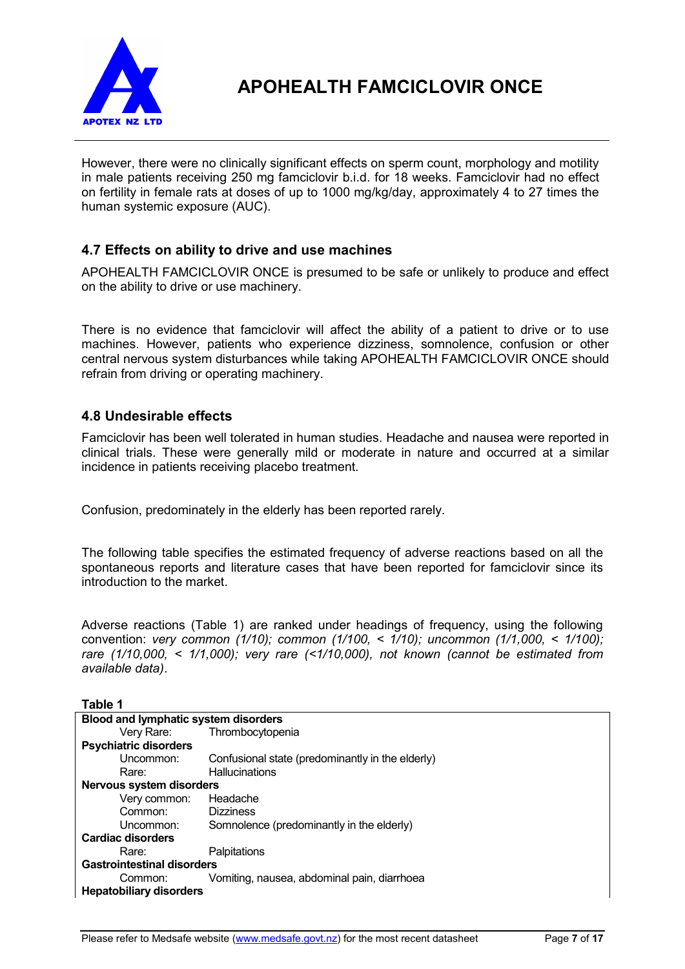

However, there were no clinically significant effects on sperm count, morphology and motility in male patients receiving 250 mg famciclovir b.i.d. for 18 weeks. Famciclovir had no effect on fertility in female rats at doses of up to 1000 mg/kg/day, approximately 4 to 27 times the human systemic exposure (AUC).

# **4.7 Effects on ability to drive and use machines**

APOHEALTH FAMCICLOVIR ONCE is presumed to be safe or unlikely to produce and effect on the ability to drive or use machinery.

There is no evidence that famciclovir will affect the ability of a patient to drive or to use machines. However, patients who experience dizziness, somnolence, confusion or other central nervous system disturbances while taking APOHEALTH FAMCICLOVIR ONCE should refrain from driving or operating machinery.

### **4.8 Undesirable effects**

Famciclovir has been well tolerated in human studies. Headache and nausea were reported in clinical trials. These were generally mild or moderate in nature and occurred at a similar incidence in patients receiving placebo treatment.

Confusion, predominately in the elderly has been reported rarely.

The following table specifies the estimated frequency of adverse reactions based on all the spontaneous reports and literature cases that have been reported for famciclovir since its introduction to the market.

Adverse reactions (Table 1) are ranked under headings of frequency, using the following convention: *very common (1/10); common (1/100, < 1/10); uncommon (1/1,000, < 1/100); rare (1/10,000, < 1/1,000); very rare (<1/10,000), not known (cannot be estimated from available data)*.

**Table 1**

| <b>Blood and lymphatic system disorders</b> |                                                  |  |  |
|---------------------------------------------|--------------------------------------------------|--|--|
| Very Rare:                                  | Thrombocytopenia                                 |  |  |
| <b>Psychiatric disorders</b>                |                                                  |  |  |
| Uncommon:                                   | Confusional state (predominantly in the elderly) |  |  |
| Rare:                                       | <b>Hallucinations</b>                            |  |  |
| <b>Nervous system disorders</b>             |                                                  |  |  |
| Very common:                                | Headache                                         |  |  |
| Common:                                     | <b>Dizziness</b>                                 |  |  |
| Uncommon:                                   | Somnolence (predominantly in the elderly)        |  |  |
| Cardiac disorders                           |                                                  |  |  |
| Rare:                                       | Palpitations                                     |  |  |
| <b>Gastrointestinal disorders</b>           |                                                  |  |  |
| Common:                                     | Vomiting, nausea, abdominal pain, diarrhoea      |  |  |
| <b>Hepatobiliary disorders</b>              |                                                  |  |  |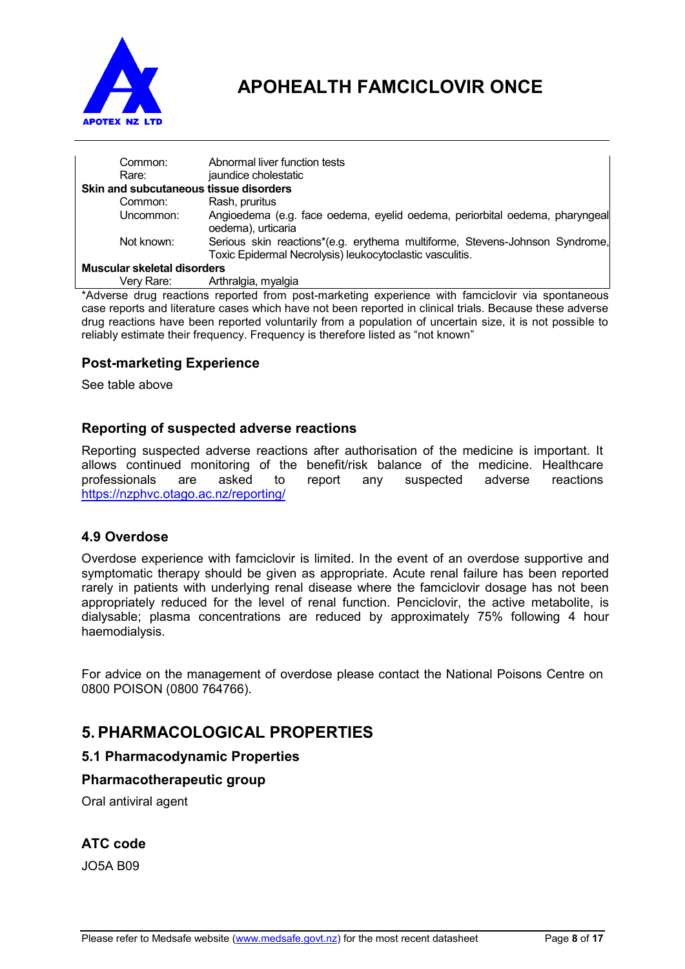

| Rare:                       | Common:    | Abnormal liver function tests<br>jaundice cholestatic<br>Skin and subcutaneous tissue disorders                                         |
|-----------------------------|------------|-----------------------------------------------------------------------------------------------------------------------------------------|
|                             |            |                                                                                                                                         |
|                             | Common:    | Rash, pruritus                                                                                                                          |
|                             | Uncommon:  | Angioedema (e.g. face oedema, eyelid oedema, periorbital oedema, pharyngeal<br>oedema), urticaria                                       |
|                             | Not known: | Serious skin reactions*(e.g. erythema multiforme, Stevens-Johnson Syndrome,<br>Toxic Epidermal Necrolysis) leukocytoclastic vasculitis. |
| Muscular skeletal disorders |            |                                                                                                                                         |
|                             | Verv Rare: | Arthralgia, myalgia                                                                                                                     |

\*Adverse drug reactions reported from post-marketing experience with famciclovir via spontaneous case reports and literature cases which have not been reported in clinical trials. Because these adverse drug reactions have been reported voluntarily from a population of uncertain size, it is not possible to reliably estimate their frequency. Frequency is therefore listed as "not known"

## **Post-marketing Experience**

See table above

## **Reporting of suspected adverse reactions**

Reporting suspected adverse reactions after authorisation of the medicine is important. It allows continued monitoring of the benefit/risk balance of the medicine. Healthcare<br>professionals are asked to report any suspected adverse reactions professionals are asked to report any suspected adverse https://nzphvc.otago.ac.nz/reporting/

## **4.9 Overdose**

Overdose experience with famciclovir is limited. In the event of an overdose supportive and symptomatic therapy should be given as appropriate. Acute renal failure has been reported rarely in patients with underlying renal disease where the famciclovir dosage has not been appropriately reduced for the level of renal function. Penciclovir, the active metabolite, is dialysable; plasma concentrations are reduced by approximately 75% following 4 hour haemodialysis.

For advice on the management of overdose please contact the National Poisons Centre on 0800 POISON (0800 764766).

# **5. PHARMACOLOGICAL PROPERTIES**

## **5.1 Pharmacodynamic Properties**

## **Pharmacotherapeutic group**

Oral antiviral agent

## **ATC code**

JO5A B09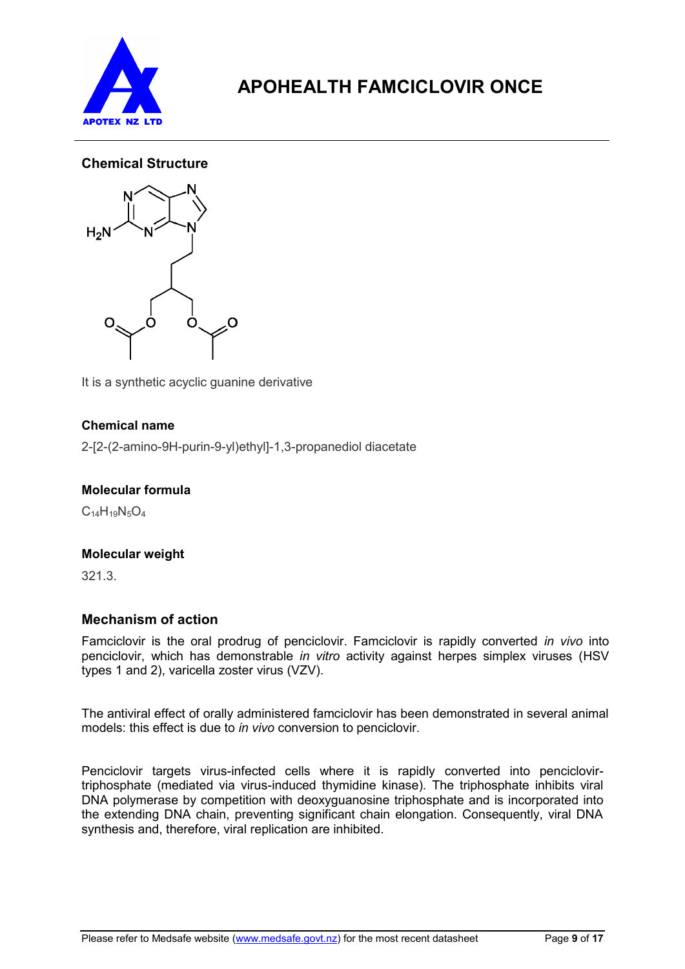

# **Chemical Structure**



It is a synthetic acyclic guanine derivative

## **Chemical name**

2-[2-(2-amino-9H-purin-9-yl)ethyl]-1,3-propanediol diacetate

## **Molecular formula**

 $C_{14}H_{19}N_5O_4$ 

## **Molecular weight**

321.3.

## **Mechanism of action**

Famciclovir is the oral prodrug of penciclovir. Famciclovir is rapidly converted *in vivo* into penciclovir, which has demonstrable *in vitro* activity against herpes simplex viruses (HSV types 1 and 2), varicella zoster virus (VZV).

The antiviral effect of orally administered famciclovir has been demonstrated in several animal models: this effect is due to *in vivo* conversion to penciclovir.

Penciclovir targets virus-infected cells where it is rapidly converted into penciclovirtriphosphate (mediated via virus-induced thymidine kinase). The triphosphate inhibits viral DNA polymerase by competition with deoxyguanosine triphosphate and is incorporated into the extending DNA chain, preventing significant chain elongation. Consequently, viral DNA synthesis and, therefore, viral replication are inhibited.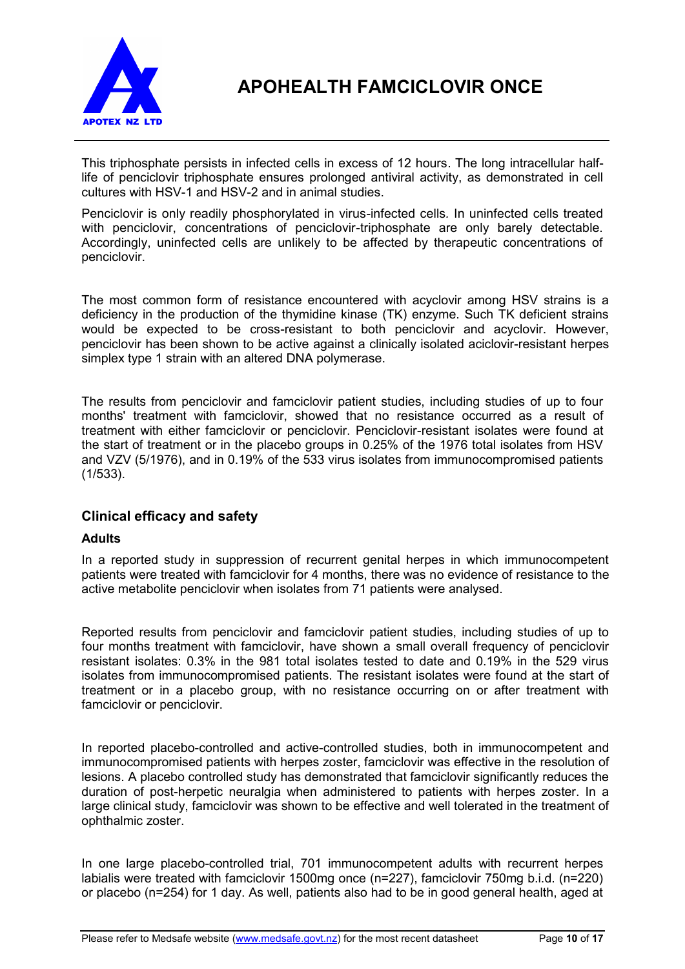

This triphosphate persists in infected cells in excess of 12 hours. The long intracellular halflife of penciclovir triphosphate ensures prolonged antiviral activity, as demonstrated in cell cultures with HSV-1 and HSV-2 and in animal studies.

Penciclovir is only readily phosphorylated in virus-infected cells*.* In uninfected cells treated with penciclovir, concentrations of penciclovir-triphosphate are only barely detectable. Accordingly, uninfected cells are unlikely to be affected by therapeutic concentrations of penciclovir.

The most common form of resistance encountered with acyclovir among HSV strains is a deficiency in the production of the thymidine kinase (TK) enzyme. Such TK deficient strains would be expected to be cross-resistant to both penciclovir and acyclovir. However, penciclovir has been shown to be active against a clinically isolated aciclovir-resistant herpes simplex type 1 strain with an altered DNA polymerase.

The results from penciclovir and famciclovir patient studies, including studies of up to four months' treatment with famciclovir, showed that no resistance occurred as a result of treatment with either famciclovir or penciclovir. Penciclovir-resistant isolates were found at the start of treatment or in the placebo groups in 0.25% of the 1976 total isolates from HSV and VZV (5/1976), and in 0.19% of the 533 virus isolates from immunocompromised patients (1/533).

## **Clinical efficacy and safety**

### **Adults**

In a reported study in suppression of recurrent genital herpes in which immunocompetent patients were treated with famciclovir for 4 months, there was no evidence of resistance to the active metabolite penciclovir when isolates from 71 patients were analysed.

Reported results from penciclovir and famciclovir patient studies, including studies of up to four months treatment with famciclovir, have shown a small overall frequency of penciclovir resistant isolates: 0.3% in the 981 total isolates tested to date and 0.19% in the 529 virus isolates from immunocompromised patients. The resistant isolates were found at the start of treatment or in a placebo group, with no resistance occurring on or after treatment with famciclovir or penciclovir.

In reported placebo-controlled and active-controlled studies, both in immunocompetent and immunocompromised patients with herpes zoster, famciclovir was effective in the resolution of lesions. A placebo controlled study has demonstrated that famciclovir significantly reduces the duration of post-herpetic neuralgia when administered to patients with herpes zoster. In a large clinical study, famciclovir was shown to be effective and well tolerated in the treatment of ophthalmic zoster.

In one large placebo-controlled trial, 701 immunocompetent adults with recurrent herpes labialis were treated with famciclovir 1500mg once (n=227), famciclovir 750mg b.i.d. (n=220) or placebo (n=254) for 1 day. As well, patients also had to be in good general health, aged at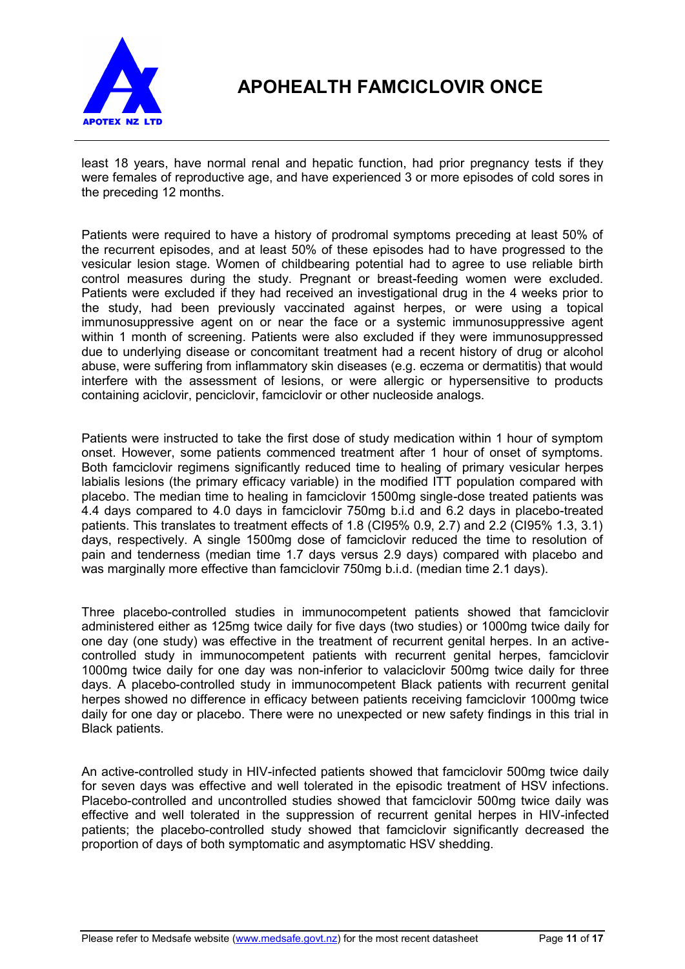

least 18 years, have normal renal and hepatic function, had prior pregnancy tests if they were females of reproductive age, and have experienced 3 or more episodes of cold sores in the preceding 12 months.

Patients were required to have a history of prodromal symptoms preceding at least 50% of the recurrent episodes, and at least 50% of these episodes had to have progressed to the vesicular lesion stage. Women of childbearing potential had to agree to use reliable birth control measures during the study. Pregnant or breast-feeding women were excluded. Patients were excluded if they had received an investigational drug in the 4 weeks prior to the study, had been previously vaccinated against herpes, or were using a topical immunosuppressive agent on or near the face or a systemic immunosuppressive agent within 1 month of screening. Patients were also excluded if they were immunosuppressed due to underlying disease or concomitant treatment had a recent history of drug or alcohol abuse, were suffering from inflammatory skin diseases (e.g. eczema or dermatitis) that would interfere with the assessment of lesions, or were allergic or hypersensitive to products containing aciclovir, penciclovir, famciclovir or other nucleoside analogs.

Patients were instructed to take the first dose of study medication within 1 hour of symptom onset. However, some patients commenced treatment after 1 hour of onset of symptoms. Both famciclovir regimens significantly reduced time to healing of primary vesicular herpes labialis lesions (the primary efficacy variable) in the modified ITT population compared with placebo. The median time to healing in famciclovir 1500mg single-dose treated patients was 4.4 days compared to 4.0 days in famciclovir 750mg b.i.d and 6.2 days in placebo-treated patients. This translates to treatment effects of 1.8 (CI95% 0.9, 2.7) and 2.2 (CI95% 1.3, 3.1) days, respectively. A single 1500mg dose of famciclovir reduced the time to resolution of pain and tenderness (median time 1.7 days versus 2.9 days) compared with placebo and was marginally more effective than famciclovir 750mg b.i.d. (median time 2.1 days).

Three placebo-controlled studies in immunocompetent patients showed that famciclovir administered either as 125mg twice daily for five days (two studies) or 1000mg twice daily for one day (one study) was effective in the treatment of recurrent genital herpes. In an activecontrolled study in immunocompetent patients with recurrent genital herpes, famciclovir 1000mg twice daily for one day was non-inferior to valaciclovir 500mg twice daily for three days. A placebo-controlled study in immunocompetent Black patients with recurrent genital herpes showed no difference in efficacy between patients receiving famciclovir 1000mg twice daily for one day or placebo. There were no unexpected or new safety findings in this trial in Black patients.

An active-controlled study in HIV-infected patients showed that famciclovir 500mg twice daily for seven days was effective and well tolerated in the episodic treatment of HSV infections. Placebo-controlled and uncontrolled studies showed that famciclovir 500mg twice daily was effective and well tolerated in the suppression of recurrent genital herpes in HIV-infected patients; the placebo-controlled study showed that famciclovir significantly decreased the proportion of days of both symptomatic and asymptomatic HSV shedding.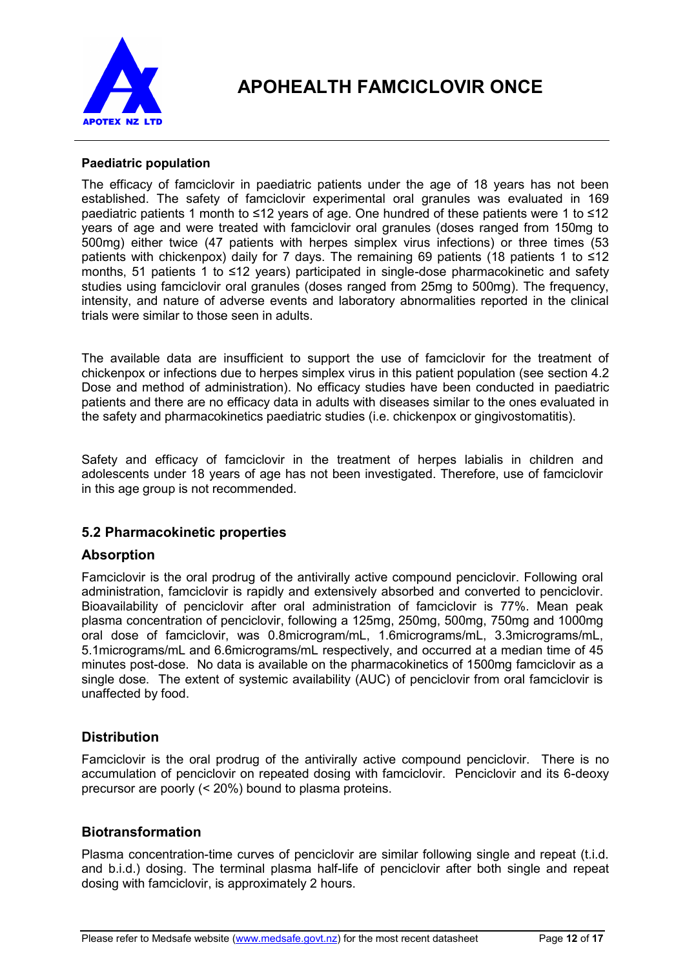

### **Paediatric population**

The efficacy of famciclovir in paediatric patients under the age of 18 years has not been established. The safety of famciclovir experimental oral granules was evaluated in 169 paediatric patients 1 month to ≤12 years of age. One hundred of these patients were 1 to ≤12 years of age and were treated with famciclovir oral granules (doses ranged from 150mg to 500mg) either twice (47 patients with herpes simplex virus infections) or three times (53 patients with chickenpox) daily for 7 days. The remaining 69 patients (18 patients 1 to ≤12 months, 51 patients 1 to ≤12 years) participated in single-dose pharmacokinetic and safety studies using famciclovir oral granules (doses ranged from 25mg to 500mg). The frequency, intensity, and nature of adverse events and laboratory abnormalities reported in the clinical trials were similar to those seen in adults.

The available data are insufficient to support the use of famciclovir for the treatment of chickenpox or infections due to herpes simplex virus in this patient population (see section 4.2 Dose and method of administration). No efficacy studies have been conducted in paediatric patients and there are no efficacy data in adults with diseases similar to the ones evaluated in the safety and pharmacokinetics paediatric studies (i.e. chickenpox or gingivostomatitis).

Safety and efficacy of famciclovir in the treatment of herpes labialis in children and adolescents under 18 years of age has not been investigated. Therefore, use of famciclovir in this age group is not recommended.

## **5.2 Pharmacokinetic properties**

## **Absorption**

Famciclovir is the oral prodrug of the antivirally active compound penciclovir. Following oral administration, famciclovir is rapidly and extensively absorbed and converted to penciclovir. Bioavailability of penciclovir after oral administration of famciclovir is 77%. Mean peak plasma concentration of penciclovir, following a 125mg, 250mg, 500mg, 750mg and 1000mg oral dose of famciclovir, was 0.8microgram/mL, 1.6micrograms/mL, 3.3micrograms/mL, 5.1micrograms/mL and 6.6micrograms/mL respectively, and occurred at a median time of 45 minutes post-dose. No data is available on the pharmacokinetics of 1500mg famciclovir as a single dose. The extent of systemic availability (AUC) of penciclovir from oral famciclovir is unaffected by food.

## **Distribution**

Famciclovir is the oral prodrug of the antivirally active compound penciclovir. There is no accumulation of penciclovir on repeated dosing with famciclovir. Penciclovir and its 6-deoxy precursor are poorly (< 20%) bound to plasma proteins.

## **Biotransformation**

Plasma concentration-time curves of penciclovir are similar following single and repeat (t.i.d. and b.i.d.) dosing. The terminal plasma half-life of penciclovir after both single and repeat dosing with famciclovir, is approximately 2 hours.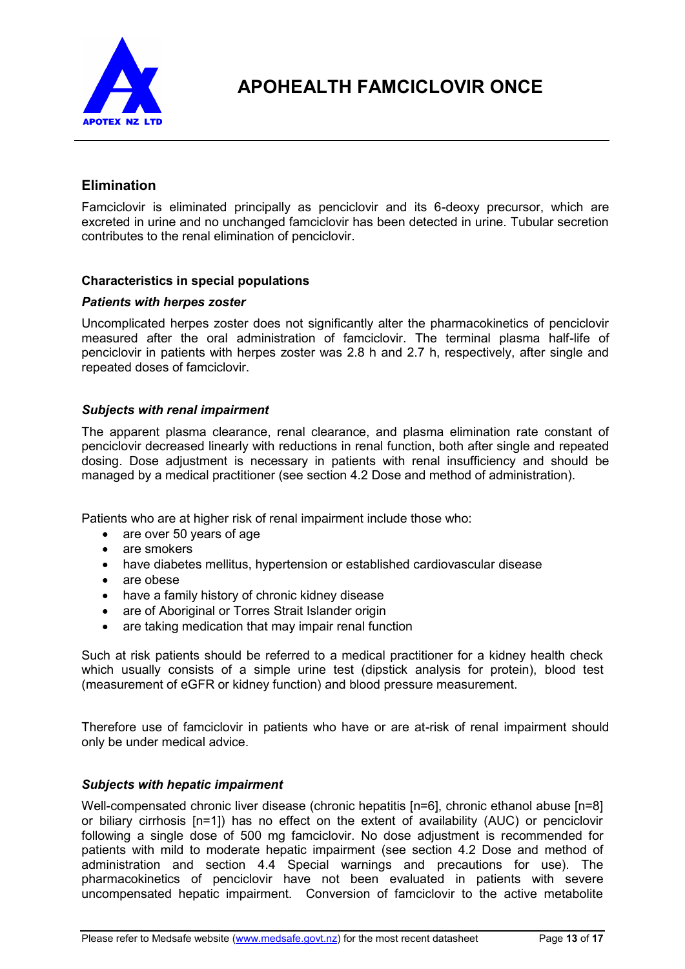

## **Elimination**

Famciclovir is eliminated principally as penciclovir and its 6-deoxy precursor, which are excreted in urine and no unchanged famciclovir has been detected in urine. Tubular secretion contributes to the renal elimination of penciclovir.

### **Characteristics in special populations**

#### *Patients with herpes zoster*

Uncomplicated herpes zoster does not significantly alter the pharmacokinetics of penciclovir measured after the oral administration of famciclovir. The terminal plasma half-life of penciclovir in patients with herpes zoster was 2.8 h and 2.7 h, respectively, after single and repeated doses of famciclovir.

#### *Subjects with renal impairment*

The apparent plasma clearance, renal clearance, and plasma elimination rate constant of penciclovir decreased linearly with reductions in renal function, both after single and repeated dosing. Dose adjustment is necessary in patients with renal insufficiency and should be managed by a medical practitioner (see section 4.2 Dose and method of administration).

Patients who are at higher risk of renal impairment include those who:

- are over 50 years of age
- are smokers
- have diabetes mellitus, hypertension or established cardiovascular disease
- are obese
- have a family history of chronic kidney disease
- are of Aboriginal or Torres Strait Islander origin
- are taking medication that may impair renal function

Such at risk patients should be referred to a medical practitioner for a kidney health check which usually consists of a simple urine test (dipstick analysis for protein), blood test (measurement of eGFR or kidney function) and blood pressure measurement.

Therefore use of famciclovir in patients who have or are at-risk of renal impairment should only be under medical advice.

#### *Subjects with hepatic impairment*

Well-compensated chronic liver disease (chronic hepatitis [n=6], chronic ethanol abuse [n=8] or biliary cirrhosis [n=1]) has no effect on the extent of availability (AUC) or penciclovir following a single dose of 500 mg famciclovir. No dose adjustment is recommended for patients with mild to moderate hepatic impairment (see section 4.2 Dose and method of administration and section 4.4 Special warnings and precautions for use). The pharmacokinetics of penciclovir have not been evaluated in patients with severe uncompensated hepatic impairment. Conversion of famciclovir to the active metabolite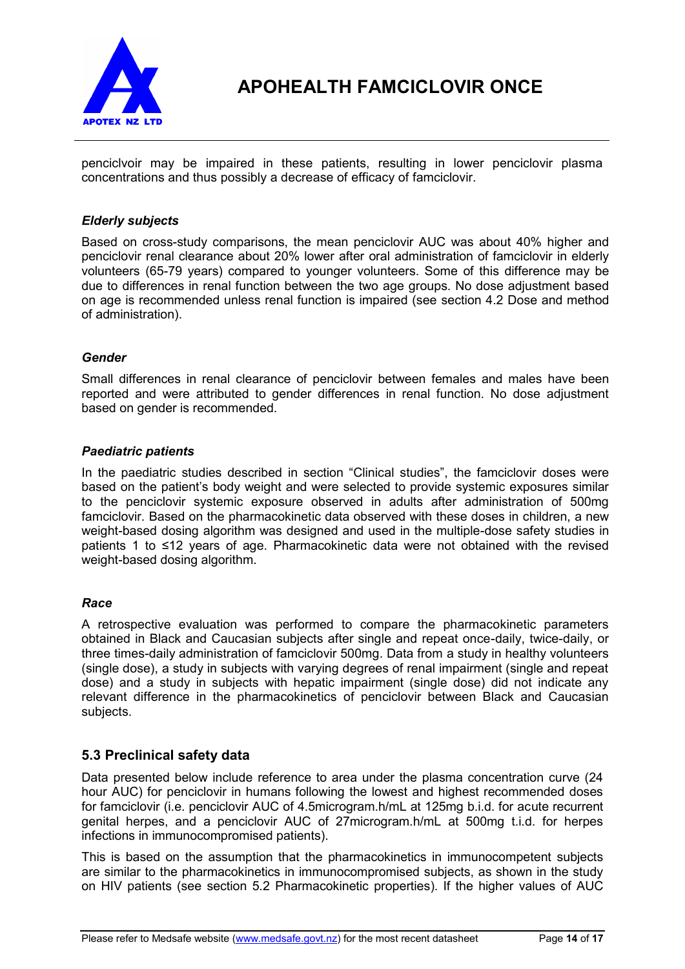

penciclvoir may be impaired in these patients, resulting in lower penciclovir plasma concentrations and thus possibly a decrease of efficacy of famciclovir.

### *Elderly subjects*

Based on cross-study comparisons, the mean penciclovir AUC was about 40% higher and penciclovir renal clearance about 20% lower after oral administration of famciclovir in elderly volunteers (65-79 years) compared to younger volunteers. Some of this difference may be due to differences in renal function between the two age groups. No dose adjustment based on age is recommended unless renal function is impaired (see section 4.2 Dose and method of administration).

### *Gender*

Small differences in renal clearance of penciclovir between females and males have been reported and were attributed to gender differences in renal function. No dose adjustment based on gender is recommended.

#### *Paediatric patients*

In the paediatric studies described in section "Clinical studies", the famciclovir doses were based on the patient's body weight and were selected to provide systemic exposures similar to the penciclovir systemic exposure observed in adults after administration of 500mg famciclovir. Based on the pharmacokinetic data observed with these doses in children, a new weight-based dosing algorithm was designed and used in the multiple-dose safety studies in patients 1 to ≤12 years of age. Pharmacokinetic data were not obtained with the revised weight-based dosing algorithm.

### *Race*

A retrospective evaluation was performed to compare the pharmacokinetic parameters obtained in Black and Caucasian subjects after single and repeat once-daily, twice-daily, or three times-daily administration of famciclovir 500mg. Data from a study in healthy volunteers (single dose), a study in subjects with varying degrees of renal impairment (single and repeat dose) and a study in subjects with hepatic impairment (single dose) did not indicate any relevant difference in the pharmacokinetics of penciclovir between Black and Caucasian subjects.

### **5.3 Preclinical safety data**

Data presented below include reference to area under the plasma concentration curve (24 hour AUC) for penciclovir in humans following the lowest and highest recommended doses for famciclovir (i.e. penciclovir AUC of 4.5microgram.h/mL at 125mg b.i.d. for acute recurrent genital herpes, and a penciclovir AUC of 27microgram.h/mL at 500mg t.i.d. for herpes infections in immunocompromised patients).

This is based on the assumption that the pharmacokinetics in immunocompetent subjects are similar to the pharmacokinetics in immunocompromised subjects, as shown in the study on HIV patients (see section 5.2 Pharmacokinetic properties). If the higher values of AUC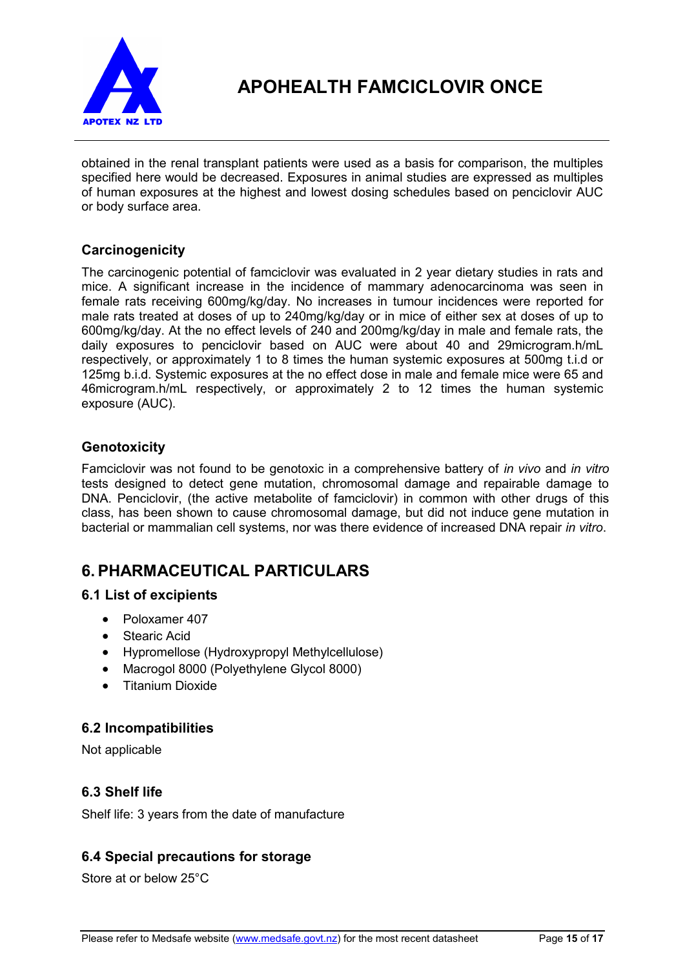

obtained in the renal transplant patients were used as a basis for comparison, the multiples specified here would be decreased. Exposures in animal studies are expressed as multiples of human exposures at the highest and lowest dosing schedules based on penciclovir AUC or body surface area.

# **Carcinogenicity**

The carcinogenic potential of famciclovir was evaluated in 2 year dietary studies in rats and mice. A significant increase in the incidence of mammary adenocarcinoma was seen in female rats receiving 600mg/kg/day. No increases in tumour incidences were reported for male rats treated at doses of up to 240mg/kg/day or in mice of either sex at doses of up to 600mg/kg/day. At the no effect levels of 240 and 200mg/kg/day in male and female rats, the daily exposures to penciclovir based on AUC were about 40 and 29microgram.h/mL respectively, or approximately 1 to 8 times the human systemic exposures at 500mg t.i.d or 125mg b.i.d. Systemic exposures at the no effect dose in male and female mice were 65 and 46microgram.h/mL respectively, or approximately 2 to 12 times the human systemic exposure (AUC).

## **Genotoxicity**

Famciclovir was not found to be genotoxic in a comprehensive battery of *in vivo* and *in vitro*  tests designed to detect gene mutation, chromosomal damage and repairable damage to DNA. Penciclovir, (the active metabolite of famciclovir) in common with other drugs of this class, has been shown to cause chromosomal damage, but did not induce gene mutation in bacterial or mammalian cell systems, nor was there evidence of increased DNA repair *in vitro*.

# **6. PHARMACEUTICAL PARTICULARS**

## **6.1 List of excipients**

- Poloxamer 407
- Stearic Acid
- Hypromellose (Hydroxypropyl Methylcellulose)
- Macrogol 8000 (Polyethylene Glycol 8000)
- Titanium Dioxide

## **6.2 Incompatibilities**

Not applicable

## **6.3 Shelf life**

Shelf life: 3 years from the date of manufacture

## **6.4 Special precautions for storage**

Store at or below 25°C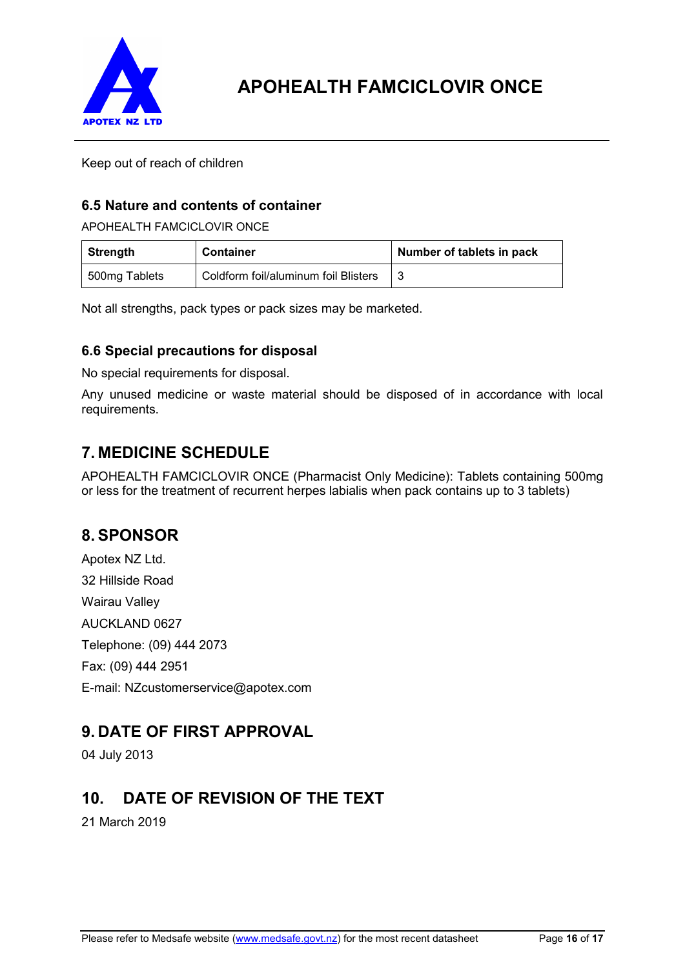

Keep out of reach of children

# **6.5 Nature and contents of container**

APOHEALTH FAMCICLOVIR ONCE

| Strength      | <b>Container</b>                     | Number of tablets in pack |
|---------------|--------------------------------------|---------------------------|
| 500mg Tablets | Coldform foil/aluminum foil Blisters |                           |

Not all strengths, pack types or pack sizes may be marketed.

# **6.6 Special precautions for disposal**

No special requirements for disposal.

Any unused medicine or waste material should be disposed of in accordance with local requirements.

# **7. MEDICINE SCHEDULE**

APOHEALTH FAMCICLOVIR ONCE (Pharmacist Only Medicine): Tablets containing 500mg or less for the treatment of recurrent herpes labialis when pack contains up to 3 tablets)

# **8. SPONSOR**

Apotex NZ Ltd. 32 Hillside Road Wairau Valley AUCKLAND 0627 Telephone: (09) 444 2073 Fax: (09) 444 2951 E-mail: NZcustomerservice@apotex.com

# **9. DATE OF FIRST APPROVAL**

04 July 2013

# **10. DATE OF REVISION OF THE TEXT**

21 March 2019